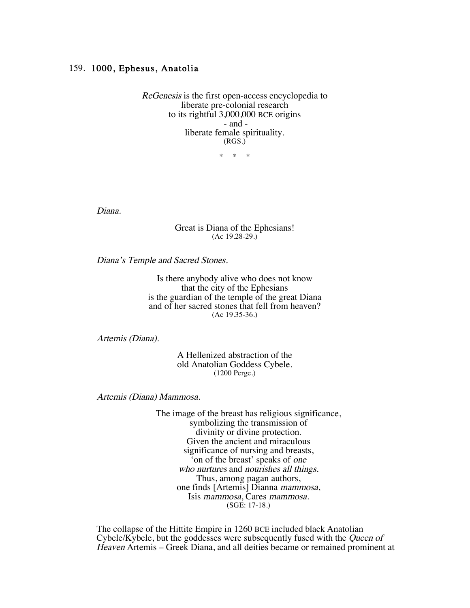## 159. 1000, Ephesus, Anatolia

ReGenesis is the first open-access encyclopedia to liberate pre-colonial research to its rightful 3,000,000 BCE origins - and liberate female spirituality. (RGS.)

\* \* \*

Diana.

## Great is Diana of the Ephesians! (Ac 19.28-29.)

Diana's Temple and Sacred Stones.

Is there anybody alive who does not know that the city of the Ephesians is the guardian of the temple of the great Diana and of her sacred stones that fell from heaven? (Ac 19.35-36.)

Artemis (Diana).

A Hellenized abstraction of the old Anatolian Goddess Cybele. (1200 Perge.)

Artemis (Diana) Mammosa.

The image of the breast has religious significance, symbolizing the transmission of divinity or divine protection. Given the ancient and miraculous significance of nursing and breasts, 'on of the breast' speaks of one who nurtures and nourishes all things. Thus, among pagan authors, one finds [Artemis] Dianna mammosa, Isis mammosa, Cares mammosa. (SGE: 17-18.)

The collapse of the Hittite Empire in 1260 BCE included black Anatolian Cybele/Kybele, but the goddesses were subsequently fused with the Queen of Heaven Artemis – Greek Diana, and all deities became or remained prominent at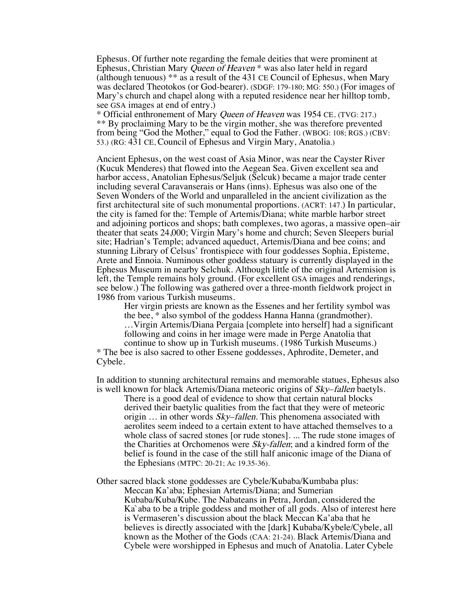Ephesus. Of further note regarding the female deities that were prominent at Ephesus, Christian Mary Queen of Heaven \* was also later held in regard (although tenuous) \*\* as a result of the 431 CE Council of Ephesus, when Mary was declared Theotokos (or God-bearer). (SDGF: 179-180; MG: 550.) (For images of Mary's church and chapel along with a reputed residence near her hilltop tomb, see GSA images at end of entry.)

\* Official enthronement of Mary Queen of Heaven was 1954 CE. (TVG: 217.) \*\* By proclaiming Mary to be the virgin mother, she was therefore prevented from being "God the Mother," equal to God the Father. (WBOG: 108; RGS.) (CBV: 53.) (RG: 431 CE, Council of Ephesus and Virgin Mary, Anatolia.)

Ancient Ephesus, on the west coast of Asia Minor, was near the Cayster River (Kucuk Menderes) that flowed into the Aegean Sea. Given excellent sea and harbor access, Anatolian Ephesus/Seljuk (Selcuk) became a major trade center including several Caravanserais or Hans (inns). Ephesus was also one of the Seven Wonders of the World and unparalleled in the ancient civilization as the first architectural site of such monumental proportions. (ACRT: 147.) In particular, the city is famed for the: Temple of Artemis/Diana; white marble harbor street and adjoining porticos and shops; bath complexes, two agoras, a massive open–air theater that seats 24,000; Virgin Mary's home and church; Seven Sleepers burial site; Hadrian's Temple; advanced aqueduct, Artemis/Diana and bee coins; and stunning Library of Celsus' frontispiece with four goddesses Sophia, Episteme, Arete and Ennoia. Numinous other goddess statuary is currently displayed in the Ephesus Museum in nearby Selchuk. Although little of the original Artemision is left, the Temple remains holy ground. (For excellent GSA images and renderings, see below.) The following was gathered over a three-month fieldwork project in 1986 from various Turkish museums.

Her virgin priests are known as the Essenes and her fertility symbol was the bee, \* also symbol of the goddess Hanna Hanna (grandmother). …Virgin Artemis/Diana Pergaia [complete into herself] had a significant following and coins in her image were made in Perge Anatolia that continue to show up in Turkish museums. (1986 Turkish Museums.)

\* The bee is also sacred to other Essene goddesses, Aphrodite, Demeter, and Cybele.

In addition to stunning architectural remains and memorable statues, Ephesus also is well known for black Artemis/Diana meteoric origins of Sky–fallen baetyls.

There is a good deal of evidence to show that certain natural blocks derived their baetylic qualities from the fact that they were of meteoric origin ... in other words *Sky–fallen*. This phenomena associated with aerolites seem indeed to a certain extent to have attached themselves to a whole class of sacred stones [or rude stones]. ... The rude stone images of the Charities at Orchomenos were Sky-fallen; and a kindred form of the belief is found in the case of the still half aniconic image of the Diana of the Ephesians (MTPC: 20-21; Ac 19.35-36).

Other sacred black stone goddesses are Cybele/Kubaba/Kumbaba plus: Meccan Ka'aba; Ephesian Artemis/Diana; and Sumerian

Kubaba/Kuba/Kube. The Nabateans in Petra, Jordan, considered the Ka`aba to be a triple goddess and mother of all gods. Also of interest here is Vermaseren's discussion about the black Meccan Ka'aba that he believes is directly associated with the [dark] Kubaba/Kybele/Cybele, all known as the Mother of the Gods (CAA: 21-24). Black Artemis/Diana and Cybele were worshipped in Ephesus and much of Anatolia. Later Cybele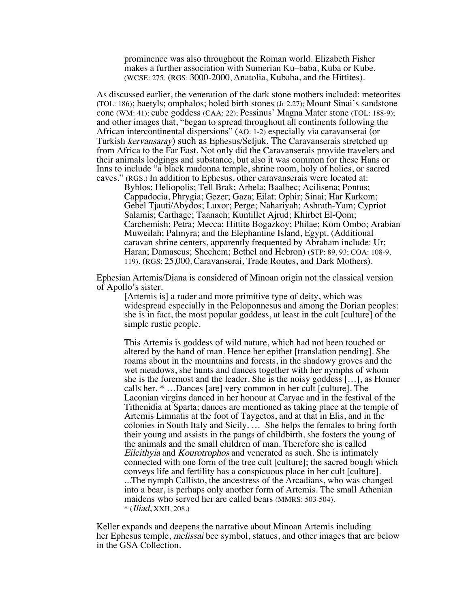prominence was also throughout the Roman world. Elizabeth Fisher makes a further association with Sumerian Ku–baba, Kuba or Kube. (WCSE: 275. (RGS: 3000-2000, Anatolia, Kubaba, and the Hittites).

As discussed earlier, the veneration of the dark stone mothers included: meteorites (TOL: 186); baetyls; omphalos; holed birth stones (Jr 2.27); Mount Sinai's sandstone cone (WM: 41); cube goddess (CAA: 22); Pessinus' Magna Mater stone (TOL: 188-9); and other images that, "began to spread throughout all continents following the African intercontinental dispersions" (AO: 1-2) especially via caravanserai (or Turkish kervansaray) such as Ephesus/Seljuk. The Caravanserais stretched up from Africa to the Far East. Not only did the Caravanserais provide travelers and their animals lodgings and substance, but also it was common for these Hans or Inns to include "a black madonna temple, shrine room, holy of holies, or sacred caves." (RGS.) In addition to Ephesus, other caravanserais were located at:

Byblos; Heliopolis; Tell Brak; Arbela; Baalbec; Acilisena; Pontus; Cappadocia, Phrygia; Gezer; Gaza; Eilat; Ophir; Sinai; Har Karkom; Gebel Tjauti/Abydos; Luxor; Perge; Nahariyah; Ashrath-Yam; Cypriot Salamis; Carthage; Taanach; Kuntillet Ajrud; Khirbet El-Qom; Carchemish; Petra; Mecca; Hittite Bogazkoy; Philae; Kom Ombo; Arabian Muweilah; Palmyra; and the Elephantine Island, Egypt. (Additional caravan shrine centers, apparently frequented by Abraham include: Ur; Haran; Damascus; Shechem; Bethel and Hebron) (STP: 89, 93; COA: 108-9, 119). (RGS: 25,000, Caravanserai, Trade Routes, and Dark Mothers).

Ephesian Artemis/Diana is considered of Minoan origin not the classical version of Apollo's sister. [Artemis is] a ruder and more primitive type of deity, which was

widespread especially in the Peloponnesus and among the Dorian peoples: she is in fact, the most popular goddess, at least in the cult [culture] of the simple rustic people.

This Artemis is goddess of wild nature, which had not been touched or altered by the hand of man. Hence her epithet [translation pending]. She roams about in the mountains and forests, in the shadowy groves and the wet meadows, she hunts and dances together with her nymphs of whom she is the foremost and the leader. She is the noisy goddess […], as Homer calls her. \* …Dances [are] very common in her cult [culture]. The Laconian virgins danced in her honour at Caryae and in the festival of the Tithenidia at Sparta; dances are mentioned as taking place at the temple of Artemis Limnatis at the foot of Taygetos, and at that in Elis, and in the colonies in South Italy and Sicily. … She helps the females to bring forth their young and assists in the pangs of childbirth, she fosters the young of the animals and the small children of man. Therefore she is called Eileithyia and Kourotrophos and venerated as such. She is intimately connected with one form of the tree cult [culture]; the sacred bough which conveys life and fertility has a conspicuous place in her cult [culture]. ...The nymph Callisto, the ancestress of the Arcadians, who was changed into a bear, is perhaps only another form of Artemis. The small Athenian maidens who served her are called bears (MMRS: 503-504).  $*$  (*Iliad, XXII, 208.*)

Keller expands and deepens the narrative about Minoan Artemis including her Ephesus temple, melissai bee symbol, statues, and other images that are below in the GSA Collection.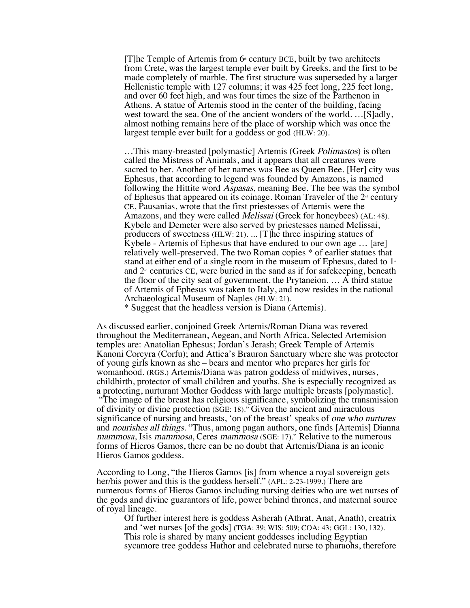[T]he Temple of Artemis from  $6<sup>*</sup>$  century BCE, built by two architects from Crete, was the largest temple ever built by Greeks, and the first to be made completely of marble. The first structure was superseded by a larger Hellenistic temple with 127 columns; it was 425 feet long, 225 feet long, and over 60 feet high, and was four times the size of the Parthenon in Athens. A statue of Artemis stood in the center of the building, facing west toward the sea. One of the ancient wonders of the world. …[S]adly, almost nothing remains here of the place of worship which was once the largest temple ever built for a goddess or god (HLW: 20).

...This many-breasted [polymastic] Artemis (Greek *Polimastos*) is often called the Mistress of Animals, and it appears that all creatures were sacred to her. Another of her names was Bee as Queen Bee. [Her] city was Ephesus, that according to legend was founded by Amazons, is named following the Hittite word Aspasas, meaning Bee. The bee was the symbol of Ephesus that appeared on its coinage. Roman Traveler of the  $2<sup>nd</sup>$  century CE, Pausanias, wrote that the first priestesses of Artemis were the Amazons, and they were called Melissai (Greek for honeybees) (AL: 48). Kybele and Demeter were also served by priestesses named Melissai, producers of sweetness (HLW: 21). ... [T]he three inspiring statues of Kybele - Artemis of Ephesus that have endured to our own age … [are] relatively well-preserved. The two Roman copies \* of earlier statues that stand at either end of a single room in the museum of Ephesus, dated to  $1<sup>*</sup>$ and  $2<sup>\omega</sup>$  centuries CE, were buried in the sand as if for safekeeping, beneath the floor of the city seat of government, the Prytaneion. … A third statue of Artemis of Ephesus was taken to Italy, and now resides in the national Archaeological Museum of Naples (HLW: 21).

\* Suggest that the headless version is Diana (Artemis).

As discussed earlier, conjoined Greek Artemis/Roman Diana was revered throughout the Mediterranean, Aegean, and North Africa. Selected Artemision temples are: Anatolian Ephesus; Jordan's Jerash; Greek Temple of Artemis Kanoni Corcyra (Corfu); and Attica's Brauron Sanctuary where she was protector of young girls known as she – bears and mentor who prepares her girls for womanhood. (RGS.) Artemis/Diana was patron goddess of midwives, nurses, childbirth, protector of small children and youths. She is especially recognized as a protecting, nurturant Mother Goddess with large multiple breasts [polymastic].

"The image of the breast has religious significance, symbolizing the transmission of divinity or divine protection (SGE: 18)." Given the ancient and miraculous significance of nursing and breasts, 'on of the breast' speaks of one who nurtures and nourishes all things. "Thus, among pagan authors, one finds [Artemis] Dianna mammosa, Isis mammosa, Ceres mammosa (SGE: 17)." Relative to the numerous forms of Hieros Gamos, there can be no doubt that Artemis/Diana is an iconic Hieros Gamos goddess.

According to Long, "the Hieros Gamos [is] from whence a royal sovereign gets her/his power and this is the goddess herself." (APL: 2-23-1999.) There are numerous forms of Hieros Gamos including nursing deities who are wet nurses of the gods and divine guarantors of life, power behind thrones, and maternal source of royal lineage.

Of further interest here is goddess Asherah (Athrat, Anat, Anath), creatrix and 'wet nurses [of the gods] (TGA: 39; WIS: 509; COA: 43; GGL: 130, 132). This role is shared by many ancient goddesses including Egyptian sycamore tree goddess Hathor and celebrated nurse to pharaohs, therefore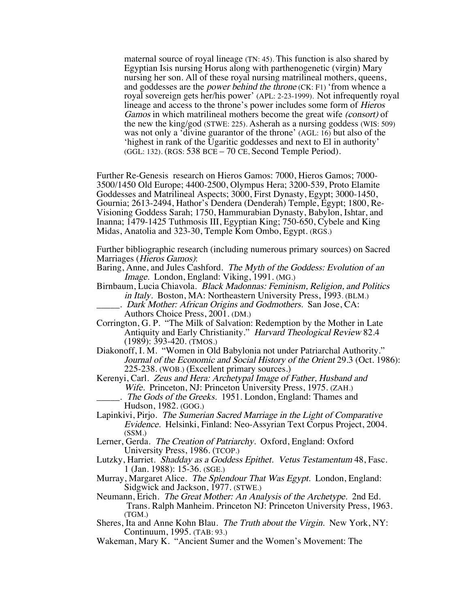maternal source of royal lineage (TN: 45). This function is also shared by Egyptian Isis nursing Horus along with parthenogenetic (virgin) Mary nursing her son. All of these royal nursing matrilineal mothers, queens, and goddesses are the power behind the throne (CK: F1) 'from whence a royal sovereign gets her/his power' (APL: 2-23-1999). Not infrequently royal lineage and access to the throne's power includes some form of Hieros Gamos in which matrilineal mothers become the great wife (consort) of the new the king/god (STWE: 225). Asherah as a nursing goddess (WIS: 509) was not only a 'divine guarantor of the throne' (AGL: 16) but also of the 'highest in rank of the Ugaritic goddesses and next to El in authority' (GGL: 132). (RGS: 538 BCE – 70 CE, Second Temple Period).

Further Re-Genesis research on Hieros Gamos: 7000, Hieros Gamos; 7000- 3500/1450 Old Europe; 4400-2500, Olympus Hera; 3200-539, Proto Elamite Goddesses and Matrilineal Aspects; 3000, First Dynasty, Egypt; 3000-1450, Gournia; 2613-2494, Hathor's Dendera (Denderah) Temple, Egypt; 1800, Re-Visioning Goddess Sarah; 1750, Hammurabian Dynasty, Babylon, Ishtar, and Inanna; 1479-1425 Tuthmosis III, Egyptian King; 750-650, Cybele and King Midas, Anatolia and 323-30, Temple Kom Ombo, Egypt. (RGS.)

Further bibliographic research (including numerous primary sources) on Sacred Marriages (Hieros Gamos):

Baring, Anne, and Jules Cashford. The Myth of the Goddess: Evolution of an Image. London, England: Viking, 1991. (MG.)

- Birnbaum, Lucia Chiavola. Black Madonnas: Feminism, Religion, and Politics in Italy. Boston, MA: Northeastern University Press, 1993. (BLM.)
	- \_\_\_\_\_. Dark Mother: African Origins and Godmothers. San Jose, CA: Authors Choice Press, 2001. (DM.)
- Corrington, G. P. "The Milk of Salvation: Redemption by the Mother in Late Antiquity and Early Christianity." Harvard Theological Review 82.4 (1989): 393-420. (TMOS.)
- Diakonoff, I. M. "Women in Old Babylonia not under Patriarchal Authority." Journal of the Economic and Social History of the Orient 29.3 (Oct. 1986): 225-238. (WOB.) (Excellent primary sources.)
- Kerenyi, Carl. Zeus and Hera: Archetypal Image of Father, Husband and Wife. Princeton, NJ: Princeton University Press, 1975. (ZAH.)
	- The Gods of the Greeks. 1951. London, England: Thames and Hudson, 1982. (GOG.)
- Lapinkivi, Pirjo. The Sumerian Sacred Marriage in the Light of Comparative Evidence. Helsinki, Finland: Neo-Assyrian Text Corpus Project, 2004. (SSM.)
- Lerner, Gerda. The Creation of Patriarchy. Oxford, England: Oxford University Press, 1986. (TCOP.)
- Lutzky, Harriet. Shadday as a Goddess Epithet. Vetus Testamentum 48, Fasc. 1 (Jan. 1988): 15-36. (SGE.)
- Murray, Margaret Alice. The Splendour That Was Egypt. London, England: Sidgwick and Jackson, 1977. (STWE.)
- Neumann, Erich. The Great Mother: An Analysis of the Archetype. 2nd Ed. Trans. Ralph Manheim. Princeton NJ: Princeton University Press, 1963. (TGM.)
- Sheres, Ita and Anne Kohn Blau. The Truth about the Virgin. New York, NY: Continuum, 1995. (TAB: 93.)
- Wakeman, Mary K. "Ancient Sumer and the Women's Movement: The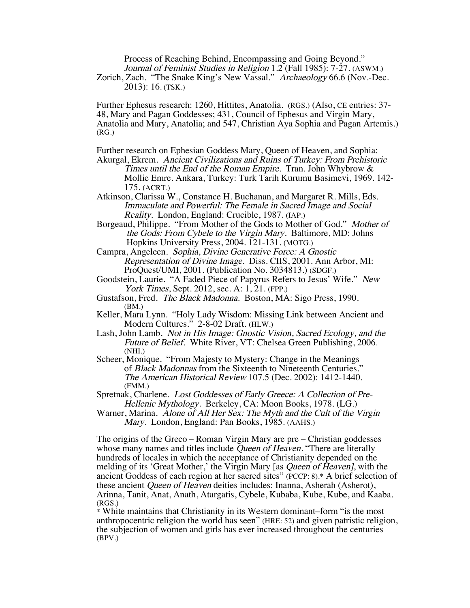Process of Reaching Behind, Encompassing and Going Beyond." Journal of Feminist Studies in Religion 1.2 (Fall 1985): 7-27. (ASWM.) Zorich, Zach. "The Snake King's New Vassal." Archaeology 66.6 (Nov.-Dec. 2013): 16. (TSK.)

Further Ephesus research: 1260, Hittites, Anatolia. (RGS.) (Also, CE entries: 37- 48, Mary and Pagan Goddesses; 431, Council of Ephesus and Virgin Mary, Anatolia and Mary, Anatolia; and 547, Christian Aya Sophia and Pagan Artemis.) (RG.)

Further research on Ephesian Goddess Mary, Queen of Heaven, and Sophia:

Akurgal, Ekrem. Ancient Civilizations and Ruins of Turkey: From Prehistoric Times until the End of the Roman Empire. Tran. John Whybrow & Mollie Emre. Ankara, Turkey: Turk Tarih Kurumu Basimevi, 1969. 142- 175. (ACRT.)

Atkinson, Clarissa W., Constance H. Buchanan, and Margaret R. Mills, Eds. Immaculate and Powerful: The Female in Sacred Image and Social Reality. London, England: Crucible, 1987. (IAP.)

Borgeaud, Philippe. "From Mother of the Gods to Mother of God." Mother of the Gods: From Cybele to the Virgin Mary. Baltimore, MD: Johns Hopkins University Press, 2004. 121-131. (MOTG.)

Campra, Angeleen. Sophia, Divine Generative Force: A Gnostic Representation of Divine Image. Diss. CIIS, 2001. Ann Arbor, MI: ProQuest/UMI, 2001. (Publication No. 3034813.) (SDGF.)

Goodstein, Laurie. "A Faded Piece of Papyrus Refers to Jesus' Wife." New York Times, Sept. 2012, sec. A: 1, 21. (FPP.)

Gustafson, Fred. The Black Madonna. Boston, MA: Sigo Press, 1990. (BM.)

Keller, Mara Lynn. "Holy Lady Wisdom: Missing Link between Ancient and Modern Cultures." 2-8-02 Draft. (HLW.)

Lash, John Lamb. Not in His Image: Gnostic Vision, Sacred Ecology, and the Future of Belief. White River, VT: Chelsea Green Publishing, 2006. (NHI.)

Scheer, Monique. "From Majesty to Mystery: Change in the Meanings of Black Madonnas from the Sixteenth to Nineteenth Centuries." The American Historical Review 107.5 (Dec. 2002): 1412-1440. (FMM.)

Spretnak, Charlene. Lost Goddesses of Early Greece: A Collection of Pre- Hellenic Mythology. Berkeley, CA: Moon Books, 1978. (LG.)

Warner, Marina. Alone of All Her Sex: The Myth and the Cult of the Virgin Mary. London, England: Pan Books, 1985. (AAHS.)

The origins of the Greco – Roman Virgin Mary are pre – Christian goddesses whose many names and titles include Queen of Heaven. "There are literally hundreds of locales in which the acceptance of Christianity depended on the melding of its 'Great Mother,' the Virgin Mary [as *Queen of Heaven]*, with the ancient Goddess of each region at her sacred sites" (PCCP: 8).\* A brief selection of these ancient Queen of Heaven deities includes: Inanna, Asherah (Asherot), Arinna, Tanit, Anat, Anath, Atargatis, Cybele, Kubaba, Kube, Kube, and Kaaba. (RGS.)

\* White maintains that Christianity in its Western dominant–form "is the most anthropocentric religion the world has seen" (HRE: 52) and given patristic religion, the subjection of women and girls has ever increased throughout the centuries (BPV.)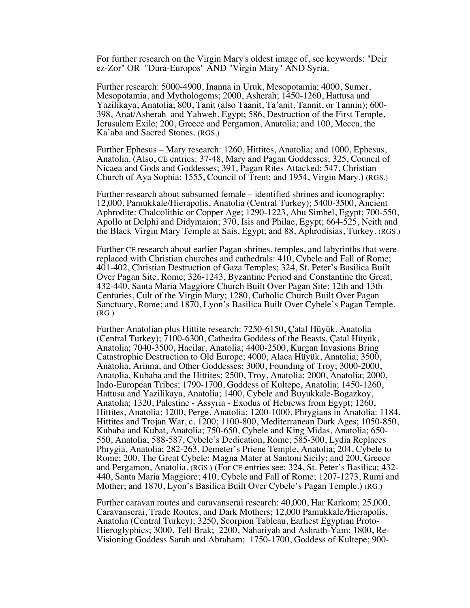For further research on the Virgin Mary's oldest image of, see keywords: "Deir ez-Zor" OR "Dura-Europos" AND "Virgin Mary" AND Syria.

Further research: 5000-4900, Inanna in Uruk, Mesopotamia; 4000, Sumer, Mesopotamia, and Mythologems; 2000, Asherah; 1450-1260, Hattusa and Yazilikaya, Anatolia; 800, Tanit (also Taanit, Ta'anit, Tannit, or Tannin); 600- 398, Anat/Asherah and Yahweh, Egypt; 586, Destruction of the First Temple, Jerusalem Exile; 200, Greece and Pergamon, Anatolia; and 100, Mecca, the Ka'aba and Sacred Stones. (RGS.)

Further Ephesus – Mary research: 1260, Hittites, Anatolia; and 1000, Ephesus, Anatolia. (Also, CE entries: 37-48, Mary and Pagan Goddesses; 325, Council of Nicaea and Gods and Goddesses; 391, Pagan Rites Attacked; 547, Christian Church of Aya Sophia; 1555, Council of Trent; and 1954, Virgin Mary.) (RGS.)

Further research about subsumed female – identified shrines and iconography: 12,000, Pamukkale/Hierapolis, Anatolia (Central Turkey); 5400-3500, Ancient Aphrodite: Chalcolithic or Copper Age; 1290-1223, Abu Simbel, Egypt; 700-550, Apollo at Delphi and Didymaion; 370, Isis and Philae, Egypt; 664-525, Neith and the Black Virgin Mary Temple at Sais, Egypt; and 88, Aphrodisias, Turkey. (RGS.)

Further CE research about earlier Pagan shrines, temples, and labyrinths that were replaced with Christian churches and cathedrals: 410, Cybele and Fall of Rome; 401-402, Christian Destruction of Gaza Temples; 324, St. Peter's Basilica Built Over Pagan Site, Rome; 326-1243, Byzantine Period and Constantine the Great; 432-440, Santa Maria Maggiore Church Built Over Pagan Site; 12th and 13th Centuries, Cult of the Virgin Mary; 1280, Catholic Church Built Over Pagan Sanctuary, Rome; and 1870, Lyon's Basilica Built Over Cybele's Pagan Temple. (RG.)

Further Anatolian plus Hittite research: 7250-6150, Çatal Hüyük, Anatolia (Central Turkey); 7100-6300, Cathedra Goddess of the Beasts, Çatal Hüyük, Anatolia; 7040-3500, Hacilar, Anatolia; 4400-2500, Kurgan Invasions Bring Catastrophic Destruction to Old Europe; 4000, Alaca Hüyük, Anatolia; 3500, Anatolia, Arinna, and Other Goddesses; 3000, Founding of Troy; 3000-2000, Anatolia, Kubaba and the Hittites; 2500, Troy, Anatolia; 2000, Anatolia; 2000, Indo-European Tribes; 1790-1700, Goddess of Kultepe, Anatolia; 1450-1260, Hattusa and Yazilikaya, Anatolia; 1400, Cybele and Buyukkale-Bogazkoy, Anatolia; 1320, Palestine - Assyria - Exodus of Hebrews from Egypt; 1260, Hittites, Anatolia; 1200, Perge, Anatolia; 1200-1000, Phrygians in Anatolia: 1184, Hittites and Trojan War, c. 1200; 1100-800, Mediterranean Dark Ages; 1050-850, Kubaba and Kubat, Anatolia; 750-650, Cybele and King Midas, Anatolia; 650- 550, Anatolia; 588-587, Cybele's Dedication, Rome; 585-300, Lydia Replaces Phrygia, Anatolia; 282-263, Demeter's Priene Temple, Anatolia; 204, Cybele to Rome; 200, The Great Cybele: Magna Mater at Santoni Sicily; and 200, Greece and Pergamon, Anatolia. (RGS.) (For CE entries see: 324, St. Peter's Basilica; 432-440, Santa Maria Maggiore; 410, Cybele and Fall of Rome; 1207-1273, Rumi and Mother; and 1870, Lyon's Basilica Built Over Cybele's Pagan Temple.) (RG.)

Further caravan routes and caravanserai research: 40,000, Har Karkom; 25,000, Caravanserai, Trade Routes, and Dark Mothers; 12,000 Pamukkale/Hierapolis, Anatolia (Central Turkey); 3250, Scorpion Tableau, Earliest Egyptian Proto- Hieroglyphics; 3000, Tell Brak; 2200, Nahariyah and Ashrath-Yam; 1800, Re-Visioning Goddess Sarah and Abraham; 1750-1700, Goddess of Kultepe; 900-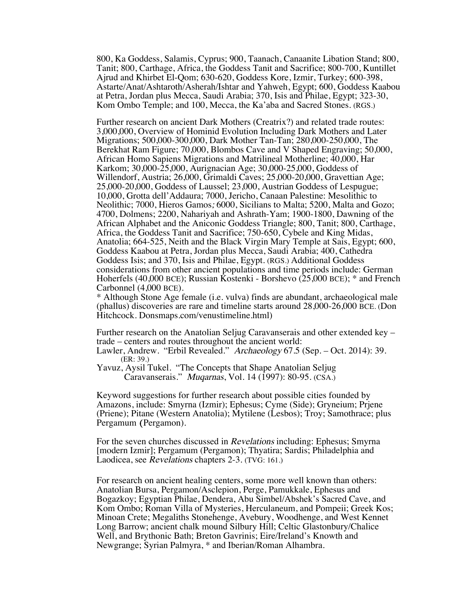800, Ka Goddess, Salamis, Cyprus; 900, Taanach, Canaanite Libation Stand; 800, Tanit; 800, Carthage, Africa, the Goddess Tanit and Sacrifice; 800-700, Kuntillet Ajrud and Khirbet El-Qom; 630-620, Goddess Kore, Izmir, Turkey; 600-398, Astarte/Anat/Ashtaroth/Asherah/Ishtar and Yahweh, Egypt; 600, Goddess Kaabou at Petra, Jordan plus Mecca, Saudi Arabia; 370, Isis and Philae, Egypt; 323-30, Kom Ombo Temple; and 100, Mecca, the Ka'aba and Sacred Stones. (RGS.)

Further research on ancient Dark Mothers (Creatrix?) and related trade routes: 3,000,000, Overview of Hominid Evolution Including Dark Mothers and Later Migrations; 500,000-300,000, Dark Mother Tan-Tan; 280,000-250,000, The Berekhat Ram Figure; 70,000, Blombos Cave and V Shaped Engraving; 50,000, African Homo Sapiens Migrations and Matrilineal Motherline; 40,000, Har Karkom; 30,000-25,000, Aurignacian Age; 30,000-25,000, Goddess of Willendorf, Austria; 26,000, Grimaldi Caves; 25,000-20,000, Gravettian Age; 25,000-20,000, Goddess of Laussel; 23,000, Austrian Goddess of Lespugue; 10,000, Grotta dell'Addaura; 7000, Jericho, Canaan Palestine: Mesolithic to Neolithic; 7000, Hieros Gamos; 6000, Sicilians to Malta; 5200, Malta and Gozo; 4700, Dolmens; 2200, Nahariyah and Ashrath-Yam; 1900-1800, Dawning of the African Alphabet and the Aniconic Goddess Triangle; 800, Tanit; 800, Carthage, Africa, the Goddess Tanit and Sacrifice; 750-650, Cybele and King Midas, Anatolia; 664-525, Neith and the Black Virgin Mary Temple at Sais, Egypt; 600, Goddess Kaabou at Petra, Jordan plus Mecca, Saudi Arabia; 400, Cathedra Goddess Isis; and 370, Isis and Philae, Egypt. (RGS.) Additional Goddess considerations from other ancient populations and time periods include: German Hoherfels (40,000 BCE); Russian Kostenki - Borshevo (25,000 BCE); \* and French Carbonnel (4,000 BCE).

\* Although Stone Age female (i.e. vulva) finds are abundant, archaeological male (phallus) discoveries are rare and timeline starts around 28,000-26,000 BCE. (Don Hitchcock. Donsmaps.com/venustimeline.html)

Further research on the Anatolian Seljug Caravanserais and other extended key – trade – centers and routes throughout the ancient world:

Lawler, Andrew. "Erbil Revealed." Archaeology 67.5 (Sep. – Oct. 2014): 39. (ER: 39.)

Yavuz, Aysil Tukel. "The Concepts that Shape Anatolian Seljug Caravanserais." Muqarnas, Vol. 14 (1997): 80-95. (CSA.)

Keyword suggestions for further research about possible cities founded by Amazons, include: Smyrna (Izmir); Ephesus; Cyme (Side); Gryneium; Prjene (Priene); Pitane (Western Anatolia); Mytilene (Lesbos); Troy; Samothrace; plus Pergamum (Pergamon).

For the seven churches discussed in Revelations including: Ephesus; Smyrna [modern Izmir]; Pergamum (Pergamon); Thyatira; Sardis; Philadelphia and Laodicea, see Revelations chapters 2-3. (TVG: 161.)

For research on ancient healing centers, some more well known than others: Anatolian Bursa, Pergamon/Asclepion, Perge, Pamukkale, Ephesus and Bogazkoy; Egyptian Philae, Dendera, Abu Simbel/Abshek's Sacred Cave, and Kom Ombo; Roman Villa of Mysteries, Herculaneum, and Pompeii; Greek Kos; Minoan Crete; Megaliths Stonehenge, Avebury, Woodhenge, and West Kennet Long Barrow; ancient chalk mound Silbury Hill; Celtic Glastonbury/Chalice Well, and Brythonic Bath; Breton Gavrinis; Eire/Ireland's Knowth and Newgrange; Syrian Palmyra, \* and Iberian/Roman Alhambra.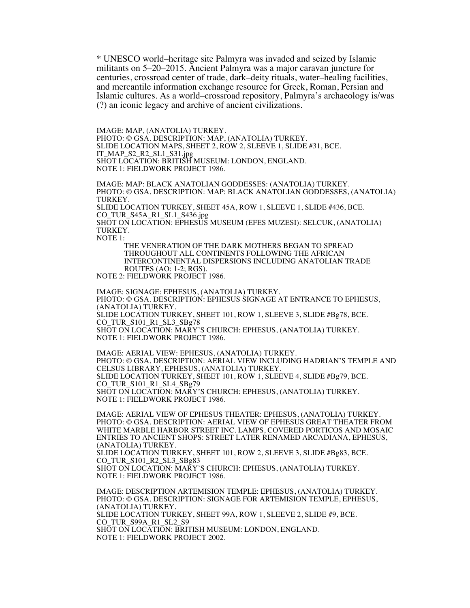\* UNESCO world–heritage site Palmyra was invaded and seized by Islamic militants on 5–20–2015. Ancient Palmyra was a major caravan juncture for centuries, crossroad center of trade, dark–deity rituals, water–healing facilities, and mercantile information exchange resource for Greek, Roman, Persian and Islamic cultures. As a world–crossroad repository, Palmyra's archaeology is/was (?) an iconic legacy and archive of ancient civilizations.

IMAGE: MAP, (ANATOLIA) TURKEY. PHOTO: © GSA. DESCRIPTION: MAP, (ANATOLIA) TURKEY. SLIDE LOCATION MAPS, SHEET 2, ROW 2, SLEEVE 1, SLIDE #31, BCE. IT\_MAP\_S2\_R2\_SL1\_S31.jpg SHOT LOCATION: BRITISH MUSEUM: LONDON, ENGLAND. NOTE 1: FIELDWORK PROJECT 1986.

IMAGE: MAP: BLACK ANATOLIAN GODDESSES: (ANATOLIA) TURKEY. PHOTO: © GSA. DESCRIPTION: MAP: BLACK ANATOLIAN GODDESSES, (ANATOLIA) TURKEY. SLIDE LOCATION TURKEY, SHEET 45A, ROW 1, SLEEVE 1, SLIDE #436, BCE. CO\_TUR\_S45A\_R1\_SL1\_S436.jpg SHOT ON LOCATION: EPHESUS MUSEUM (EFES MUZESI): SELCUK, (ANATOLIA) TURKEY. NOTE 1:

THE VENERATION OF THE DARK MOTHERS BEGAN TO SPREAD THROUGHOUT ALL CONTINENTS FOLLOWING THE AFRICAN INTERCONTINENTAL DISPERSIONS INCLUDING ANATOLIAN TRADE ROUTES (AO: 1-2; RGS). NOTE 2: FIELDWORK PROJECT 1986.

IMAGE: SIGNAGE: EPHESUS, (ANATOLIA) TURKEY. PHOTO: © GSA. DESCRIPTION: EPHESUS SIGNAGE AT ENTRANCE TO EPHESUS, (ANATOLIA) TURKEY. SLIDE LOCATION TURKEY, SHEET 101, ROW 1, SLEEVE 3, SLIDE #Bg78, BCE. CO\_TUR\_S101\_R1\_SL3\_SBg78 SHOT ON LOCATION: MARY'S CHURCH: EPHESUS, (ANATOLIA) TURKEY. NOTE 1: FIELDWORK PROJECT 1986.

IMAGE: AERIAL VIEW: EPHESUS, (ANATOLIA) TURKEY. PHOTO: © GSA. DESCRIPTION: AERIAL VIEW INCLUDING HADRIAN'S TEMPLE AND CELSUS LIBRARY, EPHESUS, (ANATOLIA) TURKEY. SLIDE LOCATION TURKEY, SHEET 101, ROW 1, SLEEVE 4, SLIDE #Bg79, BCE. CO\_TUR\_S101\_R1\_SL4\_SBg79 SHOT ON LOCATION: MARY'S CHURCH: EPHESUS, (ANATOLIA) TURKEY. NOTE 1: FIELDWORK PROJECT 1986.

IMAGE: AERIAL VIEW OF EPHESUS THEATER: EPHESUS, (ANATOLIA) TURKEY. PHOTO: © GSA. DESCRIPTION: AERIAL VIEW OF EPHESUS GREAT THEATER FROM WHITE MARBLE HARBOR STREET INC. LAMPS, COVERED PORTICOS AND MOSAIC ENTRIES TO ANCIENT SHOPS: STREET LATER RENAMED ARCADIANA, EPHESUS, (ANATOLIA) TURKEY. SLIDE LOCATION TURKEY, SHEET 101, ROW 2, SLEEVE 3, SLIDE #Bg83, BCE. CO\_TUR\_S101\_R2\_SL3\_SBg83 SHOT ON LOCATION: MARY'S CHURCH: EPHESUS, (ANATOLIA) TURKEY. NOTE 1: FIELDWORK PROJECT 1986.

IMAGE: DESCRIPTION ARTEMISION TEMPLE: EPHESUS, (ANATOLIA) TURKEY. PHOTO: © GSA. DESCRIPTION: SIGNAGE FOR ARTEMISION TEMPLE, EPHESUS, (ANATOLIA) TURKEY. SLIDE LOCATION TURKEY, SHEET 99A, ROW 1, SLEEVE 2, SLIDE #9, BCE. CO\_TUR\_S99A\_R1\_SL2\_S9 SHOT ON LOCATION: BRITISH MUSEUM: LONDON, ENGLAND. NOTE 1: FIELDWORK PROJECT 2002.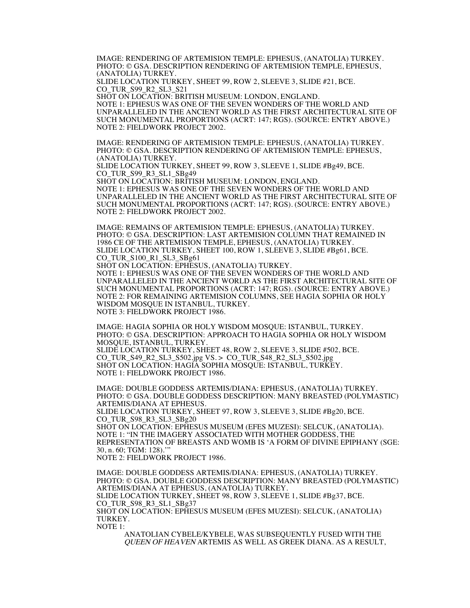IMAGE: RENDERING OF ARTEMISION TEMPLE: EPHESUS, (ANATOLIA) TURKEY. PHOTO: © GSA. DESCRIPTION RENDERING OF ARTEMISION TEMPLE, EPHESUS, (ANATOLIA) TURKEY.

SLIDE LOCATION TURKEY, SHEET 99, ROW 2, SLEEVE 3, SLIDE #21, BCE. CO\_TUR\_S99\_R2\_SL3\_S21

SHOT ON LOCATION: BRITISH MUSEUM: LONDON, ENGLAND. NOTE 1: EPHESUS WAS ONE OF THE SEVEN WONDERS OF THE WORLD AND UNPARALLELED IN THE ANCIENT WORLD AS THE FIRST ARCHITECTURAL SITE OF SUCH MONUMENTAL PROPORTIONS (ACRT: 147; RGS). (SOURCE: ENTRY ABOVE.) NOTE 2: FIELDWORK PROJECT 2002.

IMAGE: RENDERING OF ARTEMISION TEMPLE: EPHESUS, (ANATOLIA) TURKEY. PHOTO: © GSA. DESCRIPTION RENDERING OF ARTEMISION TEMPLE: EPHESUS, (ANATOLIA) TURKEY.

SLIDE LOCATION TURKEY, SHEET 99, ROW 3, SLEEVE 1, SLIDE #Bg49, BCE. CO\_TUR\_S99\_R3\_SL1\_SBg49

SHOT ON LOCATION: BRITISH MUSEUM: LONDON, ENGLAND. NOTE 1: EPHESUS WAS ONE OF THE SEVEN WONDERS OF THE WORLD AND UNPARALLELED IN THE ANCIENT WORLD AS THE FIRST ARCHITECTURAL SITE OF SUCH MONUMENTAL PROPORTIONS (ACRT: 147; RGS). (SOURCE: ENTRY ABOVE.) NOTE 2: FIELDWORK PROJECT 2002.

IMAGE: REMAINS OF ARTEMISION TEMPLE: EPHESUS, (ANATOLIA) TURKEY. PHOTO: © GSA. DESCRIPTION: LAST ARTEMISION COLUMN THAT REMAINED IN 1986 CE OF THE ARTEMISION TEMPLE, EPHESUS, (ANATOLIA) TURKEY. SLIDE LOCATION TURKEY, SHEET 100, ROW 1, SLEEVE 3, SLIDE #Bg61, BCE. CO\_TUR\_S100\_R1\_SL3\_SBg61

SHOT ON LOCATION: EPHESUS, (ANATOLIA) TURKEY. NOTE 1: EPHESUS WAS ONE OF THE SEVEN WONDERS OF THE WORLD AND UNPARALLELED IN THE ANCIENT WORLD AS THE FIRST ARCHITECTURAL SITE OF SUCH MONUMENTAL PROPORTIONS (ACRT: 147; RGS). (SOURCE: ENTRY ABOVE.) NOTE 2: FOR REMAINING ARTEMISION COLUMNS, SEE HAGIA SOPHIA OR HOLY WISDOM MOSQUE IN ISTANBUL, TURKEY. NOTE 3: FIELDWORK PROJECT 1986.

IMAGE: HAGIA SOPHIA OR HOLY WISDOM MOSQUE: ISTANBUL, TURKEY. PHOTO: © GSA. DESCRIPTION: APPROACH TO HAGIA SOPHIA OR HOLY WISDOM MOSQUE, ISTANBUL, TURKEY. SLIDE LOCATION TURKEY, SHEET 48, ROW 2, SLEEVE 3, SLIDE #502, BCE. CO\_TUR\_S49\_R2\_SL3\_S502.jpg VS. > CO\_TUR\_S48\_R2\_SL3\_S502.jpg SHOT ON LOCATION: HAGIA SOPHIA MOSQUE: ISTANBUL, TURKEY. NOTE 1: FIELDWORK PROJECT 1986.

IMAGE: DOUBLE GODDESS ARTEMIS/DIANA: EPHESUS, (ANATOLIA) TURKEY. PHOTO: © GSA. DOUBLE GODDESS DESCRIPTION: MANY BREASTED (POLYMASTIC) ARTEMIS/DIANA AT EPHESUS. SLIDE LOCATION TURKEY, SHEET 97, ROW 3, SLEEVE 3, SLIDE #Bg20, BCE. CO\_TUR\_S98\_R3\_SL3\_SBg20 SHOT ON LOCATION: EPHESUS MUSEUM (EFES MUZESI): SELCUK, (ANATOLIA). NOTE 1: "IN THE IMAGERY ASSOCIATED WITH MOTHER GODDESS, THE REPRESENTATION OF BREASTS AND WOMB IS 'A FORM OF DIVINE EPIPHANY (SGE: 30, n. 60; TGM: 128).'"

NOTE 2: FIELDWORK PROJECT 1986.

IMAGE: DOUBLE GODDESS ARTEMIS/DIANA: EPHESUS, (ANATOLIA) TURKEY. PHOTO: © GSA. DOUBLE GODDESS DESCRIPTION: MANY BREASTED (POLYMASTIC) ARTEMIS/DIANA AT EPHESUS, (ANATOLIA) TURKEY. SLIDE LOCATION TURKEY, SHEET 98, ROW 3, SLEEVE 1, SLIDE #Bg37, BCE. CO TUR S98 R3 SL1 SBg37 SHOT ON LOCATION: EPHESUS MUSEUM (EFES MUZESI): SELCUK, (ANATOLIA) TURKEY. NOTE 1:

ANATOLIAN CYBELE/KYBELE, WAS SUBSEQUENTLY FUSED WITH THE QUEEN OF HEAVEN ARTEMIS AS WELL AS GREEK DIANA. AS A RESULT,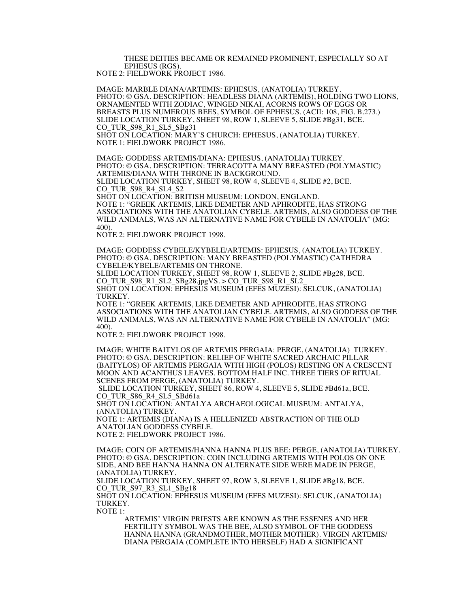THESE DEITIES BECAME OR REMAINED PROMINENT, ESPECIALLY SO AT EPHESUS (RGS). NOTE 2: FIELDWORK PROJECT 1986.

IMAGE: MARBLE DIANA/ARTEMIS: EPHESUS, (ANATOLIA) TURKEY. PHOTO: © GSA. DESCRIPTION: HEADLESS DIANA (ARTEMIS), HOLDING TWO LIONS, ORNAMENTED WITH ZODIAC, WINGED NIKAI, ACORNS ROWS OF EGGS OR BREASTS PLUS NUMEROUS BEES, SYMBOL OF EPHESUS. (ACII: 108, FIG. B.273.) SLIDE LOCATION TURKEY, SHEET 98, ROW 1, SLEEVE 5, SLIDE #Bg31, BCE. CO\_TUR\_S98\_R1\_SL5\_SBg31

SHOT ON LOCATION: MARY'S CHURCH: EPHESUS, (ANATOLIA) TURKEY. NOTE 1: FIELDWORK PROJECT 1986.

IMAGE: GODDESS ARTEMIS/DIANA: EPHESUS, (ANATOLIA) TURKEY. PHOTO: © GSA. DESCRIPTION: TERRACOTTA MANY BREASTED (POLYMASTIC) ARTEMIS/DIANA WITH THRONE IN BACKGROUND. SLIDE LOCATION TURKEY, SHEET 98, ROW 4, SLEEVE 4, SLIDE #2, BCE. CO\_TUR\_S98\_R4\_SL4\_S2

SHOT ON LOCATION: BRITISH MUSEUM: LONDON, ENGLAND. NOTE 1: "GREEK ARTEMIS, LIKE DEMETER AND APHRODITE, HAS STRONG ASSOCIATIONS WITH THE ANATOLIAN CYBELE. ARTEMIS, ALSO GODDESS OF THE WILD ANIMALS, WAS AN ALTERNATIVE NAME FOR CYBELE IN ANATOLIA" (MG: 400).

NOTE 2: FIELDWORK PROJECT 1998.

IMAGE: GODDESS CYBELE/KYBELE/ARTEMIS: EPHESUS, (ANATOLIA) TURKEY. PHOTO: © GSA. DESCRIPTION: MANY BREASTED (POLYMASTIC) CATHEDRA CYBELE/KYBELE/ARTEMIS ON THRONE.

SLIDE LOCATION TURKEY, SHEET 98, ROW 1, SLEEVE 2, SLIDE #Bg28, BCE. CO\_TUR\_S98\_R1\_SL2\_SBg28.jpgVS. > CO\_TUR\_S98\_R1\_SL2\_

SHOT ON LOCATION: EPHESUS MUSEUM (EFES MUZESI): SELCUK, (ANATOLIA) TURKEY.

NOTE 1: "GREEK ARTEMIS, LIKE DEMETER AND APHRODITE, HAS STRONG ASSOCIATIONS WITH THE ANATOLIAN CYBELE. ARTEMIS, ALSO GODDESS OF THE WILD ANIMALS, WAS AN ALTERNATIVE NAME FOR CYBELE IN ANATOLIA" (MG: 400).

NOTE 2: FIELDWORK PROJECT 1998.

IMAGE: WHITE BAITYLOS OF ARTEMIS PERGAIA: PERGE, (ANATOLIA) TURKEY. PHOTO: © GSA. DESCRIPTION: RELIEF OF WHITE SACRED ARCHAIC PILLAR (BAITYLOS) OF ARTEMIS PERGAIA WITH HIGH (POLOS) RESTING ON A CRESCENT MOON AND ACANTHUS LEAVES. BOTTOM HALF INC. THREE TIERS OF RITUAL SCENES FROM PERGE, (ANATOLIA) TURKEY.

SLIDE LOCATION TURKEY, SHEET 86, ROW 4, SLEEVE 5, SLIDE #Bd61a, BCE. CO\_TUR\_S86\_R4\_SL5\_SBd61a

SHOT ON LOCATION: ANTALYA ARCHAEOLOGICAL MUSEUM: ANTALYA, (ANATOLIA) TURKEY.

NOTE 1: ARTEMIS (DIANA) IS A HELLENIZED ABSTRACTION OF THE OLD ANATOLIAN GODDESS CYBELE.

NOTE 2: FIELDWORK PROJECT 1986.

IMAGE: COIN OF ARTEMIS/HANNA HANNA PLUS BEE: PERGE, (ANATOLIA) TURKEY. PHOTO: © GSA. DESCRIPTION: COIN INCLUDING ARTEMIS WITH POLOS ON ONE SIDE, AND BEE HANNA HANNA ON ALTERNATE SIDE WERE MADE IN PERGE, (ANATOLIA) TURKEY.

SLIDE LOCATION TURKEY, SHEET 97, ROW 3, SLEEVE 1, SLIDE #Bg18, BCE. CO\_TUR\_S97\_R3\_SL1\_SBg18

SHOT ON LOCATION: EPHESUS MUSEUM (EFES MUZESI): SELCUK, (ANATOLIA) TURKEY.

NOTE 1:

ARTEMIS' VIRGIN PRIESTS ARE KNOWN AS THE ESSENES AND HER FERTILITY SYMBOL WAS THE BEE, ALSO SYMBOL OF THE GODDESS HANNA HANNA (GRANDMOTHER, MOTHER MOTHER). VIRGIN ARTEMIS/ DIANA PERGAIA (COMPLETE INTO HERSELF) HAD A SIGNIFICANT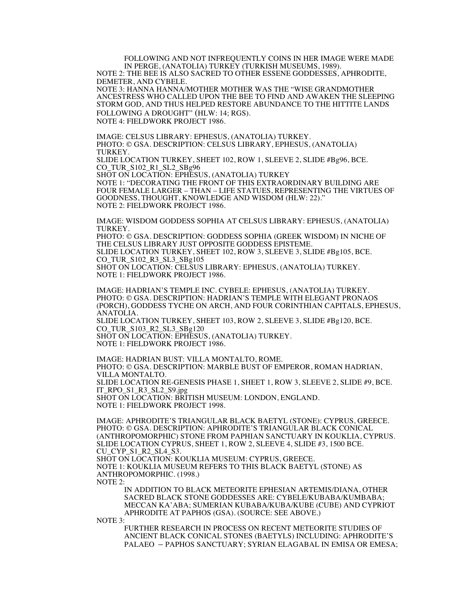FOLLOWING AND NOT INFREQUENTLY COINS IN HER IMAGE WERE MADE IN PERGE, (ANATOLIA) TURKEY (TURKISH MUSEUMS, 1989).

NOTE 2: THE BEE IS ALSO SACRED TO OTHER ESSENE GODDESSES, APHRODITE, DEMETER, AND CYBELE.

NOTE 3: HANNA HANNA/MOTHER MOTHER WAS THE "WISE GRANDMOTHER ANCESTRESS WHO CALLED UPON THE BEE TO FIND AND AWAKEN THE SLEEPING STORM GOD, AND THUS HELPED RESTORE ABUNDANCE TO THE HITTITE LANDS FOLLOWING A DROUGHT" (HLW: 14; RGS). NOTE 4: FIELDWORK PROJECT 1986.

IMAGE: CELSUS LIBRARY: EPHESUS, (ANATOLIA) TURKEY. PHOTO: © GSA. DESCRIPTION: CELSUS LIBRARY, EPHESUS, (ANATOLIA) TURKEY. SLIDE LOCATION TURKEY, SHEET 102, ROW 1, SLEEVE 2, SLIDE #Bg96, BCE. CO\_TUR\_S102\_R1\_SL2\_SBg96 SHOT ON LOCATION: EPHESUS, (ANATOLIA) TURKEY NOTE 1: "DECORATING THE FRONT OF THIS EXTRAORDINARY BUILDING ARE FOUR FEMALE LARGER – THAN – LIFE STATUES, REPRESENTING THE VIRTUES OF GOODNESS, THOUGHT, KNOWLEDGE AND WISDOM (HLW: 22)."

NOTE 2: FIELDWORK PROJECT 1986.

IMAGE: WISDOM GODDESS SOPHIA AT CELSUS LIBRARY: EPHESUS, (ANATOLIA) TURKEY.

PHOTO: © GSA. DESCRIPTION: GODDESS SOPHIA (GREEK WISDOM) IN NICHE OF THE CELSUS LIBRARY JUST OPPOSITE GODDESS EPISTEME.

SLIDE LOCATION TURKEY, SHEET 102, ROW 3, SLEEVE 3, SLIDE #Bg105, BCE. CO\_TUR\_S102\_R3\_SL3\_SBg105 SHOT ON LOCATION: CELSUS LIBRARY: EPHESUS, (ANATOLIA) TURKEY.

NOTE 1: FIELDWORK PROJECT 1986.

IMAGE: HADRIAN'S TEMPLE INC. CYBELE: EPHESUS, (ANATOLIA) TURKEY. PHOTO: © GSA. DESCRIPTION: HADRIAN'S TEMPLE WITH ELEGANT PRONAOS (PORCH), GODDESS TYCHE ON ARCH, AND FOUR CORINTHIAN CAPITALS, EPHESUS, ANATOLIA.

SLIDE LOCATION TURKEY, SHEET 103, ROW 2, SLEEVE 3, SLIDE #Bg120, BCE. CO\_TUR\_S103\_R2\_SL3\_SBg120

SHOT ON LOCATION: EPHESUS, (ANATOLIA) TURKEY. NOTE 1: FIELDWORK PROJECT 1986.

IMAGE: HADRIAN BUST: VILLA MONTALTO, ROME. PHOTO: © GSA. DESCRIPTION: MARBLE BUST OF EMPEROR, ROMAN HADRIAN, VILLA MONTALTO. SLIDE LOCATION RE-GENESIS PHASE 1, SHEET 1, ROW 3, SLEEVE 2, SLIDE #9, BCE. IT\_RPO\_S1\_R3\_SL2\_S9.jpg SHOT ON LOCATION: BRITISH MUSEUM: LONDON, ENGLAND. NOTE 1: FIELDWORK PROJECT 1998.

IMAGE: APHRODITE'S TRIANGULAR BLACK BAETYL (STONE): CYPRUS, GREECE. PHOTO: © GSA. DESCRIPTION: APHRODITE'S TRIANGULAR BLACK CONICAL (ANTHROPOMORPHIC) STONE FROM PAPHIAN SANCTUARY IN KOUKLIA, CYPRUS. SLIDE LOCATION CYPRUS, SHEET 1, ROW 2, SLEEVE 4, SLIDE #3, 1500 BCE. CU CYP S1 R2 SL4 S3. SHOT ON LOCATION: KOUKLIA MUSEUM: CYPRUS, GREECE. NOTE 1: KOUKLIA MUSEUM REFERS TO THIS BLACK BAETYL (STONE) AS ANTHROPOMORPHIC. (1998.) NOTE 2:

IN ADDITION TO BLACK METEORITE EPHESIAN ARTEMIS/DIANA, OTHER SACRED BLACK STONE GODDESSES ARE: CYBELE/KUBABA/KUMBABA; MECCAN KA'ABA; SUMERIAN KUBABA/KUBA/KUBE (CUBE) AND CYPRIOT APHRODITE AT PAPHOS (GSA). (SOURCE: SEE ABOVE.)

NOTE 3:

FURTHER RESEARCH IN PROCESS ON RECENT METEORITE STUDIES OF ANCIENT BLACK CONICAL STONES (BAETYLS) INCLUDING: APHRODITE'S PALAEO – PAPHOS SANCTUARY; SYRIAN ELAGABAL IN EMISA OR EMESA;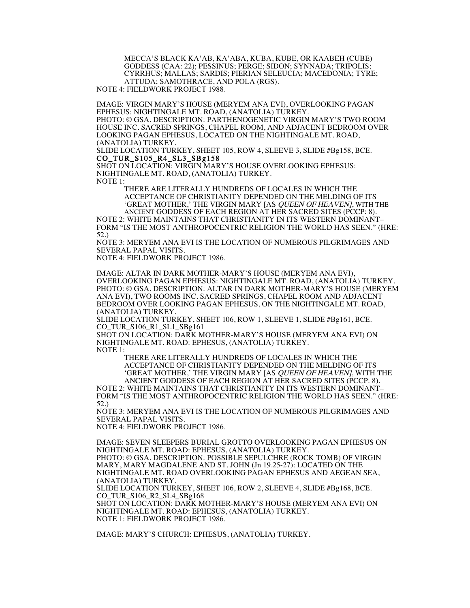MECCA'S BLACK KA'AB, KA'ABA, KUBA, KUBE, OR KAABEH (CUBE) GODDESS (CAA: 22); PESSINUS; PERGE; SIDON; SYNNADA; TRIPOLIS; CYRRHUS; MALLAS; SARDIS; PIERIAN SELEUCIA; MACEDONIA; TYRE; ATTUDA; SAMOTHRACE, AND POLA (RGS).

NOTE 4: FIELDWORK PROJECT 1988.

IMAGE: VIRGIN MARY'S HOUSE (MERYEM ANA EVI), OVERLOOKING PAGAN EPHESUS: NIGHTINGALE MT. ROAD, (ANATOLIA) TURKEY. PHOTO: © GSA. DESCRIPTION: PARTHENOGENETIC VIRGIN MARY'S TWO ROOM HOUSE INC. SACRED SPRINGS, CHAPEL ROOM, AND ADJACENT BEDROOM OVER LOOKING PAGAN EPHESUS, LOCATED ON THE NIGHTINGALE MT. ROAD, (ANATOLIA) TURKEY.

SLIDE LOCATION TURKEY, SHEET 105, ROW 4, SLEEVE 3, SLIDE #Bg158, BCE. CO\_TUR\_S105\_R4\_SL3\_SBg158<br>SHOT ON LOCATION: VIRGIN MARY'S HOUSE OVERLOOKING EPHESUS:

NIGHTINGALE MT. ROAD, (ANATOLIA) TURKEY. NOTE 1:

> THERE ARE LITERALLY HUNDREDS OF LOCALES IN WHICH THE ACCEPTANCE OF CHRISTIANITY DEPENDED ON THE MELDING OF ITS 'GREAT MOTHER,' THE VIRGIN MARY [AS QUEEN OF HEAVEN], WITH THE ANCIENT GODDESS OF EACH REGION AT HER SACRED SITES (PCCP: 8).

NOTE 2: WHITE MAINTAINS THAT CHRISTIANITY IN ITS WESTERN DOMINANT– FORM "IS THE MOST ANTHROPOCENTRIC RELIGION THE WORLD HAS SEEN." (HRE: 52.)

NOTE 3: MERYEM ANA EVI IS THE LOCATION OF NUMEROUS PILGRIMAGES AND SEVERAL PAPAL VISITS.

NOTE 4: FIELDWORK PROJECT 1986.

IMAGE: ALTAR IN DARK MOTHER-MARY'S HOUSE (MERYEM ANA EVI), OVERLOOKING PAGAN EPHESUS: NIGHTINGALE MT. ROAD, (ANATOLIA) TURKEY. PHOTO: © GSA. DESCRIPTION: ALTAR IN DARK MOTHER-MARY'S HOUSE (MERYEM ANA EVI), TWO ROOMS INC. SACRED SPRINGS, CHAPEL ROOM AND ADJACENT BEDROOM OVER LOOKING PAGAN EPHESUS, ON THE NIGHTINGALE MT. ROAD, (ANATOLIA) TURKEY.

SLIDE LOCATION TURKEY, SHEET 106, ROW 1, SLEEVE 1, SLIDE #Bg161, BCE. CO\_TUR\_S106\_R1\_SL1\_SBg161

SHOT ON LOCATION: DARK MOTHER-MARY'S HOUSE (MERYEM ANA EVI) ON NIGHTINGALE MT. ROAD: EPHESUS, (ANATOLIA) TURKEY. NOTE 1:

THERE ARE LITERALLY HUNDREDS OF LOCALES IN WHICH THE ACCEPTANCE OF CHRISTIANITY DEPENDED ON THE MELDING OF ITS 'GREAT MOTHER,' THE VIRGIN MARY [AS QUEEN OF HEAVEN], WITH THE ANCIENT GODDESS OF EACH REGION AT HER SACRED SITES (PCCP: 8).

NOTE 2: WHITE MAINTAINS THAT CHRISTIANITY IN ITS WESTERN DOMINANT– FORM "IS THE MOST ANTHROPOCENTRIC RELIGION THE WORLD HAS SEEN." (HRE: 52.)

NOTE 3: MERYEM ANA EVI IS THE LOCATION OF NUMEROUS PILGRIMAGES AND SEVERAL PAPAL VISITS.

NOTE 4: FIELDWORK PROJECT 1986.

IMAGE: SEVEN SLEEPERS BURIAL GROTTO OVERLOOKING PAGAN EPHESUS ON NIGHTINGALE MT. ROAD: EPHESUS, (ANATOLIA) TURKEY. PHOTO: © GSA. DESCRIPTION: POSSIBLE SEPULCHRE (ROCK TOMB) OF VIRGIN MARY, MARY MAGDALENE AND ST. JOHN (Jn 19.25-27): LOCATED ON THE NIGHTINGALE MT. ROAD OVERLOOKING PAGAN EPHESUS AND AEGEAN SEA, (ANATOLIA) TURKEY.

SLIDE LOCATION TURKEY, SHEET 106, ROW 2, SLEEVE 4, SLIDE #Bg168, BCE. CO\_TUR\_S106\_R2\_SL4\_SBg168

SHOT ON LOCATION: DARK MOTHER-MARY'S HOUSE (MERYEM ANA EVI) ON NIGHTINGALE MT. ROAD: EPHESUS, (ANATOLIA) TURKEY. NOTE 1: FIELDWORK PROJECT 1986.

IMAGE: MARY'S CHURCH: EPHESUS, (ANATOLIA) TURKEY.